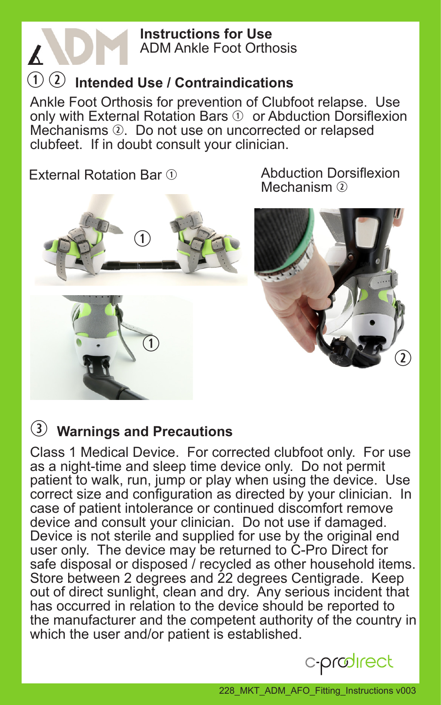#### **Instructions for Use** ADM Ankle Foot Orthosis

# q w **Intended Use / Contraindications**

Ankle Foot Orthosis for prevention of Clubfoot relapse. Use only with External Rotation Bars  $\mathcal D$  or Abduction Dorsiflexion Mechanisms 2. Do not use on uncorrected or relapsed clubfeet. If in doubt consult your clinician.

External Rotation Bar ①

 $\boldsymbol{\mathcal{K}}$ 



Abduction Dorsiflexion Mechanism  $\Omega$ 



#### e **Warnings and Precautions**

Class 1 Medical Device. For corrected clubfoot only. For use as a night-time and sleep time device only. Do not permit patient to walk, run, jump or play when using the device. Use correct size and configuration as directed by your clinician. In case of patient intolerance or continued discomfort remove device and consult your clinician. Do not use if damaged. Device is not sterile and supplied for use by the original end user only. The device may be returned to C-Pro Direct for safe disposal or disposed / recycled as other household items. Store between 2 degrees and 22 degrees Centigrade. Keep out of direct sunlight, clean and dry. Any serious incident that has occurred in relation to the device should be reported to the manufacturer and the competent authority of the country in which the user and/or patient is established.